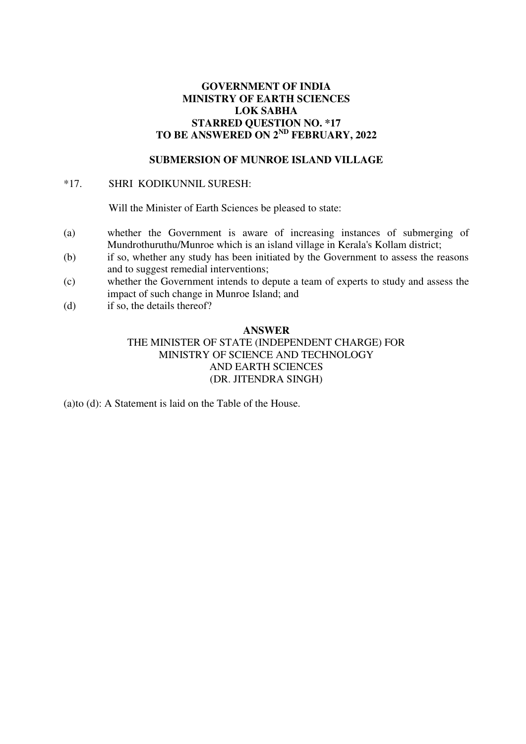# **GOVERNMENT OF INDIA MINISTRY OF EARTH SCIENCES LOK SABHA STARRED QUESTION NO. \*17 TO BE ANSWERED ON 2ND FEBRUARY, 2022**

## **SUBMERSION OF MUNROE ISLAND VILLAGE**

## \*17. SHRI KODIKUNNIL SURESH:

Will the Minister of Earth Sciences be pleased to state:

- (a) whether the Government is aware of increasing instances of submerging of Mundrothuruthu/Munroe which is an island village in Kerala's Kollam district;
- (b) if so, whether any study has been initiated by the Government to assess the reasons and to suggest remedial interventions;
- (c) whether the Government intends to depute a team of experts to study and assess the impact of such change in Munroe Island; and
- (d) if so, the details thereof?

### **ANSWER**

THE MINISTER OF STATE (INDEPENDENT CHARGE) FOR MINISTRY OF SCIENCE AND TECHNOLOGY AND EARTH SCIENCES (DR. JITENDRA SINGH)

(a)to (d): A Statement is laid on the Table of the House.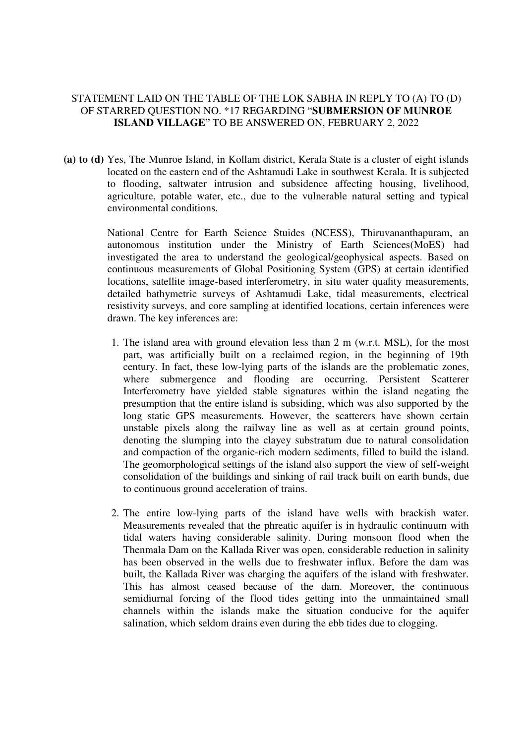# STATEMENT LAID ON THE TABLE OF THE LOK SABHA IN REPLY TO (A) TO (D) OF STARRED QUESTION NO. \*17 REGARDING "**SUBMERSION OF MUNROE ISLAND VILLAGE**" TO BE ANSWERED ON, FEBRUARY 2, 2022

**(a) to (d)** Yes, The Munroe Island, in Kollam district, Kerala State is a cluster of eight islands located on the eastern end of the Ashtamudi Lake in southwest Kerala. It is subjected to flooding, saltwater intrusion and subsidence affecting housing, livelihood, agriculture, potable water, etc., due to the vulnerable natural setting and typical environmental conditions.

> National Centre for Earth Science Stuides (NCESS), Thiruvananthapuram, an autonomous institution under the Ministry of Earth Sciences(MoES) had investigated the area to understand the geological/geophysical aspects. Based on continuous measurements of Global Positioning System (GPS) at certain identified locations, satellite image-based interferometry, in situ water quality measurements, detailed bathymetric surveys of Ashtamudi Lake, tidal measurements, electrical resistivity surveys, and core sampling at identified locations, certain inferences were drawn. The key inferences are:

- 1. The island area with ground elevation less than 2 m (w.r.t. MSL), for the most part, was artificially built on a reclaimed region, in the beginning of 19th century. In fact, these low-lying parts of the islands are the problematic zones, where submergence and flooding are occurring. Persistent Scatterer Interferometry have yielded stable signatures within the island negating the presumption that the entire island is subsiding, which was also supported by the long static GPS measurements. However, the scatterers have shown certain unstable pixels along the railway line as well as at certain ground points, denoting the slumping into the clayey substratum due to natural consolidation and compaction of the organic-rich modern sediments, filled to build the island. The geomorphological settings of the island also support the view of self-weight consolidation of the buildings and sinking of rail track built on earth bunds, due to continuous ground acceleration of trains.
- 2. The entire low-lying parts of the island have wells with brackish water. Measurements revealed that the phreatic aquifer is in hydraulic continuum with tidal waters having considerable salinity. During monsoon flood when the Thenmala Dam on the Kallada River was open, considerable reduction in salinity has been observed in the wells due to freshwater influx. Before the dam was built, the Kallada River was charging the aquifers of the island with freshwater. This has almost ceased because of the dam. Moreover, the continuous semidiurnal forcing of the flood tides getting into the unmaintained small channels within the islands make the situation conducive for the aquifer salination, which seldom drains even during the ebb tides due to clogging.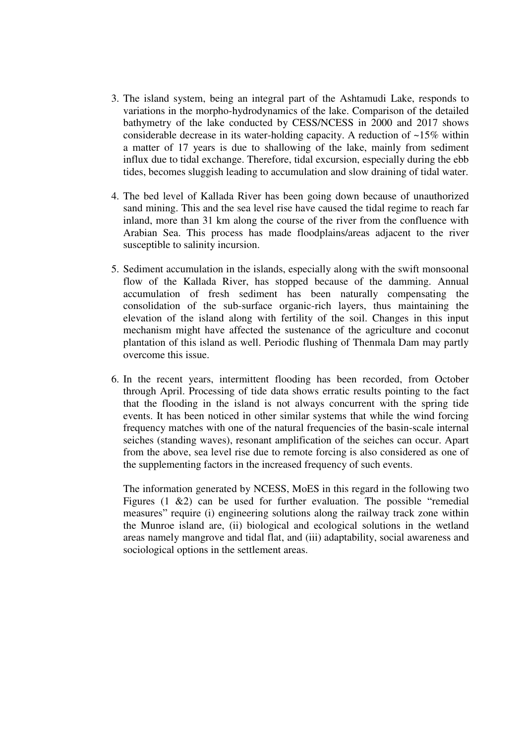- 3. The island system, being an integral part of the Ashtamudi Lake, responds to variations in the morpho-hydrodynamics of the lake. Comparison of the detailed bathymetry of the lake conducted by CESS/NCESS in 2000 and 2017 shows considerable decrease in its water-holding capacity. A reduction of  $\sim$ 15% within a matter of 17 years is due to shallowing of the lake, mainly from sediment influx due to tidal exchange. Therefore, tidal excursion, especially during the ebb tides, becomes sluggish leading to accumulation and slow draining of tidal water.
- 4. The bed level of Kallada River has been going down because of unauthorized sand mining. This and the sea level rise have caused the tidal regime to reach far inland, more than 31 km along the course of the river from the confluence with Arabian Sea. This process has made floodplains/areas adjacent to the river susceptible to salinity incursion.
- 5. Sediment accumulation in the islands, especially along with the swift monsoonal flow of the Kallada River, has stopped because of the damming. Annual accumulation of fresh sediment has been naturally compensating the consolidation of the sub-surface organic-rich layers, thus maintaining the elevation of the island along with fertility of the soil. Changes in this input mechanism might have affected the sustenance of the agriculture and coconut plantation of this island as well. Periodic flushing of Thenmala Dam may partly overcome this issue.
- 6. In the recent years, intermittent flooding has been recorded, from October through April. Processing of tide data shows erratic results pointing to the fact that the flooding in the island is not always concurrent with the spring tide events. It has been noticed in other similar systems that while the wind forcing frequency matches with one of the natural frequencies of the basin-scale internal seiches (standing waves), resonant amplification of the seiches can occur. Apart from the above, sea level rise due to remote forcing is also considered as one of the supplementing factors in the increased frequency of such events.

The information generated by NCESS, MoES in this regard in the following two Figures  $(1 \& 2)$  can be used for further evaluation. The possible "remedial" measures" require (i) engineering solutions along the railway track zone within the Munroe island are, (ii) biological and ecological solutions in the wetland areas namely mangrove and tidal flat, and (iii) adaptability, social awareness and sociological options in the settlement areas.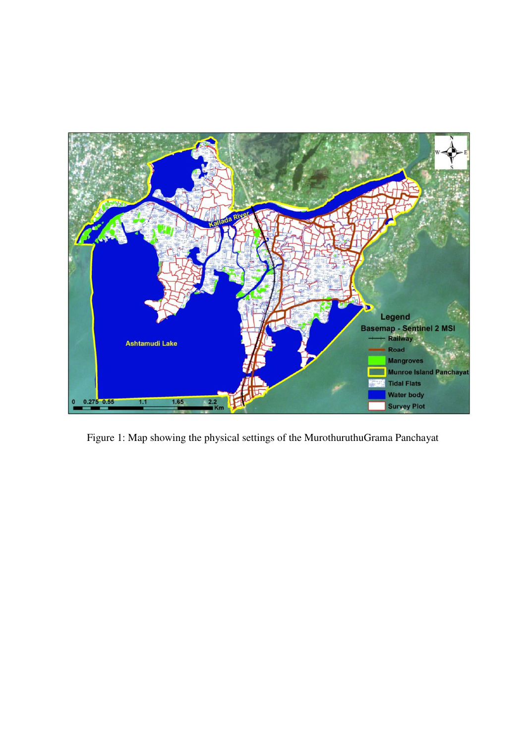

Figure 1: Map showing the physical settings of the MurothuruthuGrama Panchayat